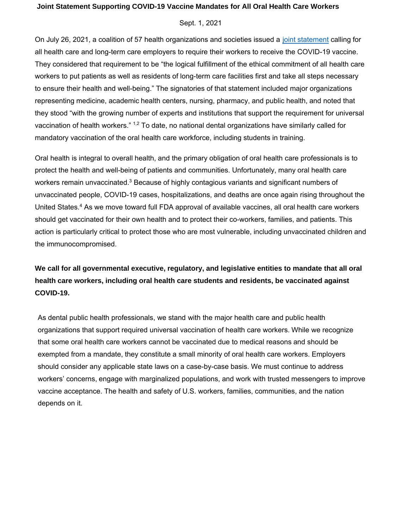## **Joint Statement Supporting COVID-19 Vaccine Mandates for All Oral Health Care Workers**

## Sept. 1, 2021

On July 26, 2021, a coalition of 57 health organizations and societies issued a [joint statement](https://apha.org/News-and-Media/News-Releases/APHA-News-Releases/2021/COVID-19-vaccine-mandates) calling for all health care and long-term care employers to require their workers to receive the COVID-19 vaccine. They considered that requirement to be "the logical fulfillment of the ethical commitment of all health care workers to put patients as well as residents of long-term care facilities first and [take all steps n](https://leadingage.org/sites/default/files/Joint%20Statement%20on%20Vaccine%20Mandates.pdf)ecessary to ensure their health and well-being." The signatories of that statement included major organizations representing medicine, academic health centers, nursing, pharmacy, and public health, and noted that they stood "with the growing number of experts and institutions that support the requirement for universal vaccination of health workers." <sup>1,2</sup> To date, no national dental organizations have similarly called for mandatory vaccination of the oral health care workforce, including students in training.

Oral health is integral to overall health, and the primary obligation of oral health care professionals is to protect the health and well-being of patients and communities. Unfortunately, many oral health care workers remain unvaccinated.<sup>3</sup> Because of highly contagious variants and significant numbers of unvaccinated people, COVID-19 cases, hospitalizations, and deaths are once again rising throughout the United States.<sup>4</sup> As we move toward full FDA approval of available vaccines, all oral health care workers should get vaccinated for their own health and to protect their co-workers, families, and patients. This action is particularly critical to protect those who are most vulnerable, including unvaccinated children and the immunocompromised.

**We call for all governmental executive, regulatory, and legislative entities to mandate that all oral health care workers, including oral health care students and residents, be vaccinated against COVID-19.** 

As dental public health professionals, we stand with the major health care and public health organizations that support required universal vaccination of health care workers. While we recognize that some oral health care workers cannot be vaccinated due to medical reasons and should be exempted from a mandate, they constitute a small minority of oral health care workers. Employers should consider any applicable state laws on a case-by-case basis. We must continue to address workers' concerns, engage with marginalized populations, and work with trusted messengers to improve vaccine acceptance. The health and safety of U.S. workers, families, communities, and the nation depends on it.